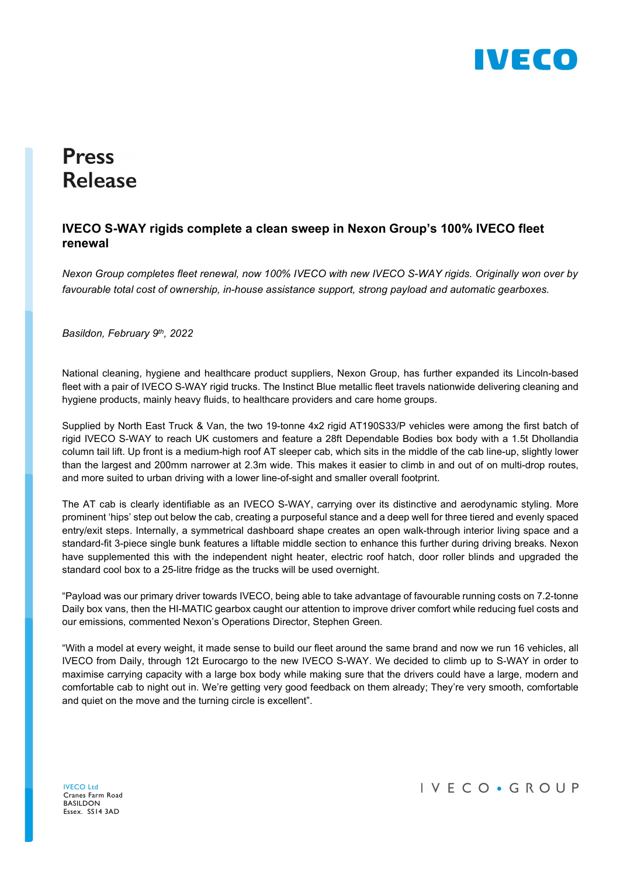

# **Press Release**

## IVECO S-WAY rigids complete a clean sweep in Nexon Group's 100% IVECO fleet renewal

Nexon Group completes fleet renewal, now 100% IVECO with new IVECO S-WAY rigids. Originally won over by favourable total cost of ownership, in-house assistance support, strong payload and automatic gearboxes.

Basildon, February 9th, 2022

National cleaning, hygiene and healthcare product suppliers, Nexon Group, has further expanded its Lincoln-based fleet with a pair of IVECO S-WAY rigid trucks. The Instinct Blue metallic fleet travels nationwide delivering cleaning and hygiene products, mainly heavy fluids, to healthcare providers and care home groups.

Supplied by North East Truck & Van, the two 19-tonne 4x2 rigid AT190S33/P vehicles were among the first batch of rigid IVECO S-WAY to reach UK customers and feature a 28ft Dependable Bodies box body with a 1.5t Dhollandia column tail lift. Up front is a medium-high roof AT sleeper cab, which sits in the middle of the cab line-up, slightly lower than the largest and 200mm narrower at 2.3m wide. This makes it easier to climb in and out of on multi-drop routes, and more suited to urban driving with a lower line-of-sight and smaller overall footprint.

The AT cab is clearly identifiable as an IVECO S-WAY, carrying over its distinctive and aerodynamic styling. More prominent 'hips' step out below the cab, creating a purposeful stance and a deep well for three tiered and evenly spaced entry/exit steps. Internally, a symmetrical dashboard shape creates an open walk-through interior living space and a standard-fit 3-piece single bunk features a liftable middle section to enhance this further during driving breaks. Nexon have supplemented this with the independent night heater, electric roof hatch, door roller blinds and upgraded the standard cool box to a 25-litre fridge as the trucks will be used overnight.

"Payload was our primary driver towards IVECO, being able to take advantage of favourable running costs on 7.2-tonne Daily box vans, then the HI-MATIC gearbox caught our attention to improve driver comfort while reducing fuel costs and our emissions, commented Nexon's Operations Director, Stephen Green.

"With a model at every weight, it made sense to build our fleet around the same brand and now we run 16 vehicles, all IVECO from Daily, through 12t Eurocargo to the new IVECO S-WAY. We decided to climb up to S-WAY in order to maximise carrying capacity with a large box body while making sure that the drivers could have a large, modern and comfortable cab to night out in. We're getting very good feedback on them already; They're very smooth, comfortable and quiet on the move and the turning circle is excellent".

IVECO Ltd Cranes Farm Road BASILDON Essex. SS14 3AD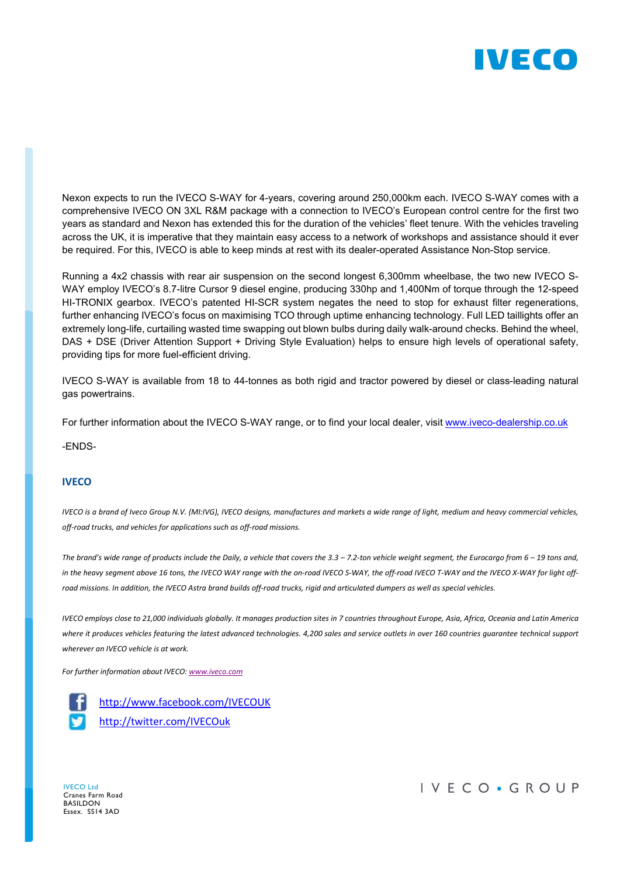

Nexon expects to run the IVECO S-WAY for 4-years, covering around 250,000km each. IVECO S-WAY comes with a comprehensive IVECO ON 3XL R&M package with a connection to IVECO's European control centre for the first two years as standard and Nexon has extended this for the duration of the vehicles' fleet tenure. With the vehicles traveling across the UK, it is imperative that they maintain easy access to a network of workshops and assistance should it ever be required. For this, IVECO is able to keep minds at rest with its dealer-operated Assistance Non-Stop service.

Running a 4x2 chassis with rear air suspension on the second longest 6,300mm wheelbase, the two new IVECO S-WAY employ IVECO's 8.7-litre Cursor 9 diesel engine, producing 330hp and 1,400Nm of torque through the 12-speed HI-TRONIX gearbox. IVECO's patented HI-SCR system negates the need to stop for exhaust filter regenerations, further enhancing IVECO's focus on maximising TCO through uptime enhancing technology. Full LED taillights offer an extremely long-life, curtailing wasted time swapping out blown bulbs during daily walk-around checks. Behind the wheel, DAS + DSE (Driver Attention Support + Driving Style Evaluation) helps to ensure high levels of operational safety, providing tips for more fuel-efficient driving.

IVECO S-WAY is available from 18 to 44-tonnes as both rigid and tractor powered by diesel or class-leading natural gas powertrains.

For further information about the IVECO S-WAY range, or to find your local dealer, visit www.iveco-dealership.co.uk

-ENDS-

#### **IVECO**

IVECO is a brand of Iveco Group N.V. (MI:IVG), IVECO designs, manufactures and markets a wide range of light, medium and heavy commercial vehicles, off-road trucks, and vehicles for applications such as off-road missions.

The brand's wide range of products include the Daily, a vehicle that covers the 3.3 – 7.2-ton vehicle weight segment, the Eurocargo from 6 – 19 tons and, in the heavy segment above 16 tons, the IVECO WAY range with the on-road IVECO S-WAY, the off-road IVECO T-WAY and the IVECO X-WAY for light offroad missions. In addition, the IVECO Astra brand builds off-road trucks, rigid and articulated dumpers as well as special vehicles.

IVECO employs close to 21,000 individuals globally. It manages production sites in 7 countries throughout Europe, Asia, Africa, Oceania and Latin America where it produces vehicles featuring the latest advanced technologies. 4,200 sales and service outlets in over 160 countries guarantee technical support wherever an IVECO vehicle is at work.

For further information about IVECO: www.iveco.com

http://www.facebook.com/IVECOUK http://twitter.com/IVECOuk

IVECO Ltd Cranes Farm Road BASILDON Essex. SS14 3AD

### IVECO · GROUP